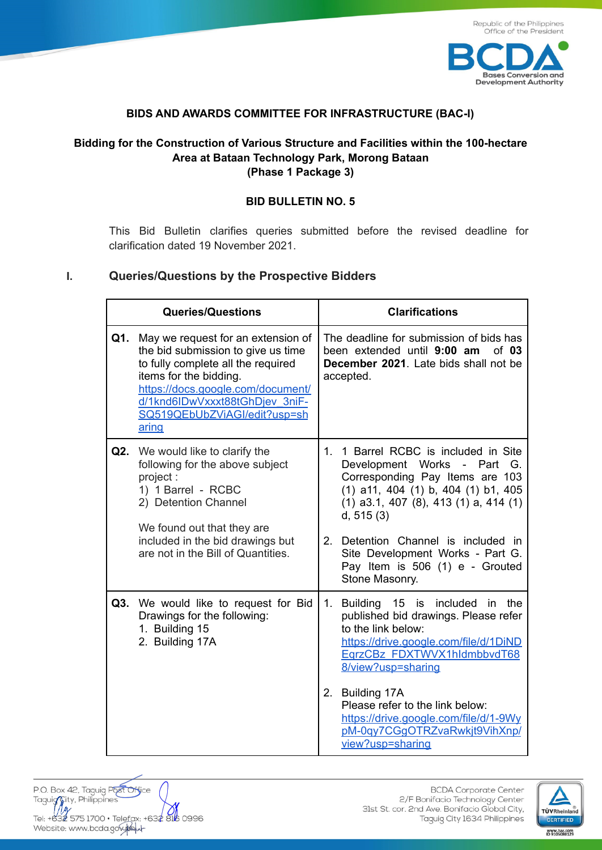

### **BIDS AND AWARDS COMMITTEE FOR INFRASTRUCTURE (BAC-I)**

# **Bidding for the Construction of Various Structure and Facilities within the 100-hectare Area at Bataan Technology Park, Morong Bataan (Phase 1 Package 3)**

#### **BID BULLETIN NO. 5**

This Bid Bulletin clarifies queries submitted before the revised deadline for clarification dated 19 November 2021.

#### **I. Queries/Questions by the Prospective Bidders**

| <b>Queries/Questions</b>                                                                                                                                                                                                                                        | <b>Clarifications</b>                                                                                                                                                                                                                                                                                                                           |
|-----------------------------------------------------------------------------------------------------------------------------------------------------------------------------------------------------------------------------------------------------------------|-------------------------------------------------------------------------------------------------------------------------------------------------------------------------------------------------------------------------------------------------------------------------------------------------------------------------------------------------|
| Q1.<br>May we request for an extension of<br>the bid submission to give us time<br>to fully complete all the required<br>items for the bidding.<br>https://docs.google.com/document/<br>d/1knd6IDwVxxxt88tGhDjev 3niF-<br>SQ519QEbUbZViAGI/edit?usp=sh<br>aring | The deadline for submission of bids has<br>been extended until 9:00 am<br>of $03$<br>December 2021. Late bids shall not be<br>accepted.                                                                                                                                                                                                         |
| <b>Q2.</b> We would like to clarify the<br>following for the above subject<br>project:<br>1) 1 Barrel - RCBC<br>2) Detention Channel<br>We found out that they are<br>included in the bid drawings but<br>are not in the Bill of Quantities.                    | 1. 1 Barrel RCBC is included in Site<br>Development Works - Part G.<br>Corresponding Pay Items are 103<br>(1) a11, 404 (1) b, 404 (1) b1, 405<br>$(1)$ a3.1, 407 $(8)$ , 413 $(1)$ a, 414 $(1)$<br>d, 515(3)<br>2.<br>Detention Channel is included in<br>Site Development Works - Part G.<br>Pay Item is 506 (1) e - Grouted<br>Stone Masonry. |
| Q3. We would like to request for Bid<br>Drawings for the following:<br>1. Building 15<br>2. Building 17A                                                                                                                                                        | Building 15 is included in the<br>1.<br>published bid drawings. Please refer<br>to the link below:<br>https://drive.google.com/file/d/1DiND<br>EqrzCBz FDXTWVX1hldmbbvdT68<br>8/view?usp=sharing<br>2.<br>Building 17A<br>Please refer to the link below:<br>https://drive.google.com/file/d/1-9Wy<br>pM-0qy7CGgOTRZvaRwkjt9VihXnp/             |
|                                                                                                                                                                                                                                                                 | view?usp=sharing                                                                                                                                                                                                                                                                                                                                |

P.O. Box 42, Taguig Port Office P.O. Box 42, laguig Post Office<br>Taguig City, Philippines<br>Tel: +632 575 1700 • Telefax: +632 816 0996<br>Website: www.bcda.gox.gou

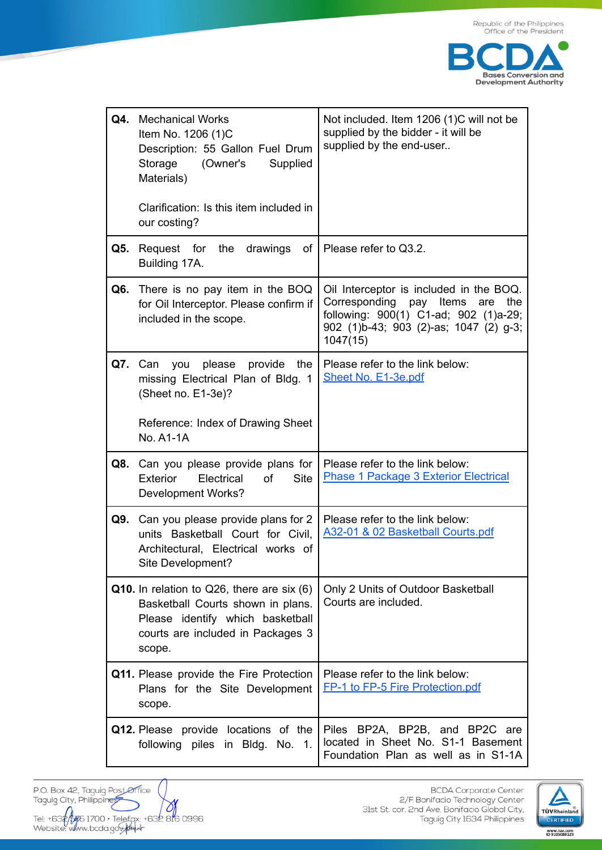

| Q4. | Mechanical Works<br>Item No. 1206 (1)C<br>Description: 55 Gallon Fuel Drum<br>Storage<br>(Owner's<br>Supplied<br>Materials)<br>Clarification: Is this item included in<br>our costing? | Not included. Item 1206 (1)C will not be<br>supplied by the bidder - it will be<br>supplied by the end-user                                                                        |
|-----|----------------------------------------------------------------------------------------------------------------------------------------------------------------------------------------|------------------------------------------------------------------------------------------------------------------------------------------------------------------------------------|
| Q5. | Request for the drawings<br>оf<br>Building 17A.                                                                                                                                        | Please refer to Q3.2.                                                                                                                                                              |
|     | Q6. There is no pay item in the BOQ<br>for Oil Interceptor. Please confirm if<br>included in the scope.                                                                                | Oil Interceptor is included in the BOQ.<br>Corresponding pay<br>Items<br>the<br>are<br>following: 900(1) C1-ad; 902 (1)a-29;<br>902 (1)b-43; 903 (2)-as; 1047 (2) g-3;<br>1047(15) |
|     | you please provide<br>Q7. Can<br>the<br>missing Electrical Plan of Bldg. 1<br>(Sheet no. E1-3e)?<br>Reference: Index of Drawing Sheet                                                  | Please refer to the link below:<br>Sheet No. E1-3e.pdf                                                                                                                             |
|     | <b>No. A1-1A</b>                                                                                                                                                                       |                                                                                                                                                                                    |
| Q8. | Can you please provide plans for<br>Electrical<br><b>of</b><br><b>Site</b><br><b>Exterior</b><br>Development Works?                                                                    | Please refer to the link below:<br>Phase 1 Package 3 Exterior Electrical                                                                                                           |
| Q9. | Can you please provide plans for 2<br>units Basketball Court for Civil,<br>Architectural, Electrical works of<br>Site Development?                                                     | Please refer to the link below:<br>A32-01 & 02 Basketball Courts.pdf                                                                                                               |
|     | Q10. In relation to Q26, there are six (6)<br>Basketball Courts shown in plans.<br>Please identify which basketball<br>courts are included in Packages 3<br>scope.                     | Only 2 Units of Outdoor Basketball<br>Courts are included.                                                                                                                         |
|     | Q11. Please provide the Fire Protection<br>Plans for the Site Development<br>scope.                                                                                                    | Please refer to the link below:<br>FP-1 to FP-5 Fire Protection.pdf                                                                                                                |
|     | Q12. Please provide locations of the<br>following piles in Bldg. No. 1.                                                                                                                | Piles BP2A, BP2B, and BP2C are<br>located in Sheet No. S1-1 Basement<br>Foundation Plan as well as in S1-1A                                                                        |

P.O. Box 42, Taguig Post Office Taguig City, Philippines Tel: +632 5 1700 · Telefax: +632 816 0996<br>Website: www.bcda.gov.php

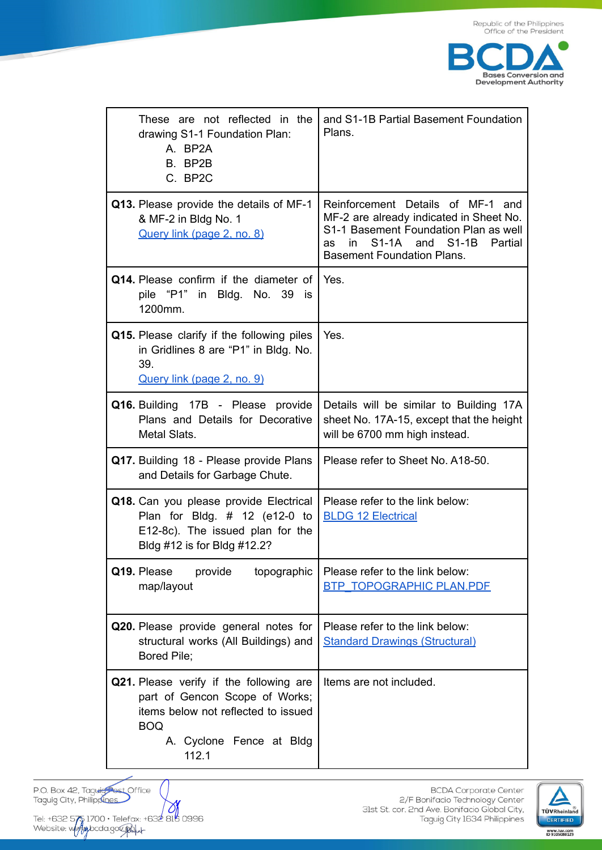

| These are not reflected in the<br>drawing S1-1 Foundation Plan:<br>A. BP2A<br>B. BP2B<br>C. BP2C                                                                    | and S1-1B Partial Basement Foundation<br>Plans.                                                                                                                                                            |
|---------------------------------------------------------------------------------------------------------------------------------------------------------------------|------------------------------------------------------------------------------------------------------------------------------------------------------------------------------------------------------------|
| Q13. Please provide the details of MF-1<br>& MF-2 in Bldg No. 1<br>Query link (page 2, no. 8)                                                                       | Reinforcement Details of MF-1 and<br>MF-2 are already indicated in Sheet No.<br>S1-1 Basement Foundation Plan as well<br>$S1-1A$<br>and S1-1B<br>Partial<br>in.<br>as<br><b>Basement Foundation Plans.</b> |
| Q14. Please confirm if the diameter of<br>pile "P1" in Bldg. No. 39<br><b>is</b><br>1200mm.                                                                         | Yes.                                                                                                                                                                                                       |
| Q15. Please clarify if the following piles<br>in Gridlines 8 are "P1" in Bldg. No.<br>39.<br>Query link (page 2, no. 9)                                             | Yes.                                                                                                                                                                                                       |
| Q16. Building 17B - Please provide<br>Plans and Details for Decorative<br>Metal Slats.                                                                              | Details will be similar to Building 17A<br>sheet No. 17A-15, except that the height<br>will be 6700 mm high instead.                                                                                       |
| Q17. Building 18 - Please provide Plans<br>and Details for Garbage Chute.                                                                                           | Please refer to Sheet No. A18-50.                                                                                                                                                                          |
| Q18. Can you please provide Electrical<br>Plan for Bldg. $\#$ 12 (e12-0 to<br>E12-8c). The issued plan for the<br>Bldg #12 is for Bldg #12.2?                       | Please refer to the link below:<br><b>BLDG 12 Electrical</b>                                                                                                                                               |
| Q19. Please<br>provide<br>topographic<br>map/layout                                                                                                                 | Please refer to the link below:<br><b>BTP TOPOGRAPHIC PLAN.PDF</b>                                                                                                                                         |
| Q20. Please provide general notes for<br>structural works (All Buildings) and<br>Bored Pile;                                                                        | Please refer to the link below:<br><b>Standard Drawings (Structural)</b>                                                                                                                                   |
| Q21. Please verify if the following are<br>part of Gencon Scope of Works;<br>items below not reflected to issued<br><b>BOQ</b><br>A. Cyclone Fence at Bldg<br>112.1 | Items are not included.                                                                                                                                                                                    |

Tel: +632 575 1700 • Telefax: +632 818 0996<br>Website: www.abcda.gov.gal.u.

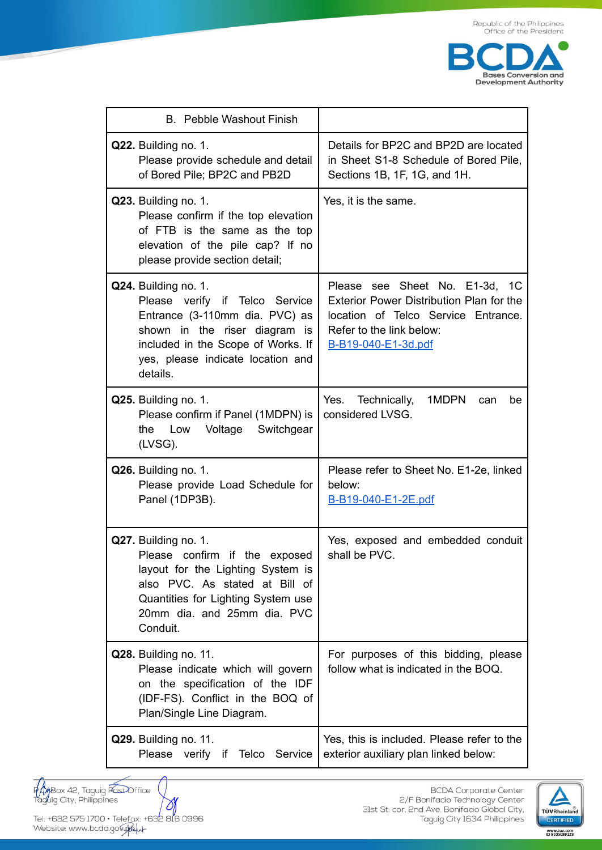

| <b>B.</b> Pebble Washout Finish                                                                                                                                                                                  |                                                                                                                                                                      |
|------------------------------------------------------------------------------------------------------------------------------------------------------------------------------------------------------------------|----------------------------------------------------------------------------------------------------------------------------------------------------------------------|
| Q22. Building no. 1.<br>Please provide schedule and detail<br>of Bored Pile; BP2C and PB2D                                                                                                                       | Details for BP2C and BP2D are located<br>in Sheet S1-8 Schedule of Bored Pile,<br>Sections 1B, 1F, 1G, and 1H.                                                       |
| Q23. Building no. 1.<br>Please confirm if the top elevation<br>of FTB is the same as the top<br>elevation of the pile cap? If no<br>please provide section detail;                                               | Yes, it is the same.                                                                                                                                                 |
| Q24. Building no. 1.<br>Please verify if Telco Service<br>Entrance (3-110mm dia. PVC) as<br>shown in the riser diagram is<br>included in the Scope of Works. If<br>yes, please indicate location and<br>details. | Please see Sheet No. E1-3d, 1C<br>Exterior Power Distribution Plan for the<br>location of Telco Service Entrance.<br>Refer to the link below:<br>B-B19-040-E1-3d.pdf |
| Q25. Building no. 1.<br>Please confirm if Panel (1MDPN) is<br>Voltage<br>Switchgear<br>Low<br>the<br>(LVSG).                                                                                                     | Yes.<br>Technically,<br>1MDPN<br>can<br>be<br>considered LVSG.                                                                                                       |
| Q26. Building no. 1.<br>Please provide Load Schedule for<br>Panel (1DP3B).                                                                                                                                       | Please refer to Sheet No. E1-2e, linked<br>below:<br>B-B19-040-E1-2E.pdf                                                                                             |
| Q27. Building no. 1.<br>Please confirm if the exposed<br>layout for the Lighting System is<br>also PVC. As stated at Bill of<br>Quantities for Lighting System use<br>20mm dia. and 25mm dia. PVC<br>Conduit.    | Yes, exposed and embedded conduit<br>shall be PVC.                                                                                                                   |
| Q28. Building no. 11.<br>Please indicate which will govern<br>on the specification of the IDF<br>(IDF-FS). Conflict in the BOQ of<br>Plan/Single Line Diagram.                                                   | For purposes of this bidding, please<br>follow what is indicated in the BOQ.                                                                                         |
| Q29. Building no. 11.<br>Please<br>verify if<br>Telco<br>Service                                                                                                                                                 | Yes, this is included. Please refer to the<br>exterior auxiliary plan linked below:                                                                                  |

**Hypeox 42, Taguig PostOffice**<br>Tagliig City, Philippines

Tel: +632 575 1700 · Telefax: +632 816 0996 Website: www.bcda.gov.gou

 $\emptyset$ 

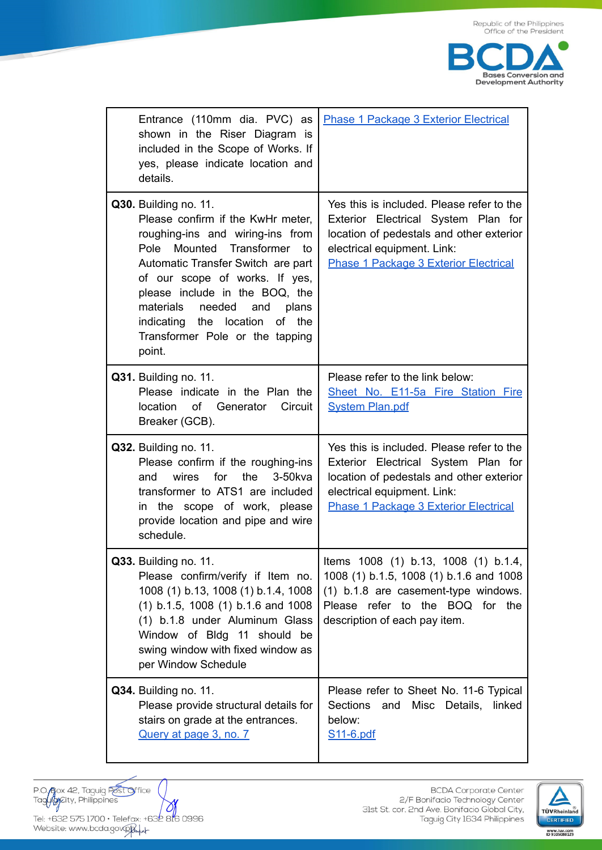

| Entrance (110mm dia. PVC) as<br>shown in the Riser Diagram is<br>included in the Scope of Works. If<br>yes, please indicate location and<br>details.                                                                                                                                                                                                          | <b>Phase 1 Package 3 Exterior Electrical</b>                                                                                                                                                                |
|---------------------------------------------------------------------------------------------------------------------------------------------------------------------------------------------------------------------------------------------------------------------------------------------------------------------------------------------------------------|-------------------------------------------------------------------------------------------------------------------------------------------------------------------------------------------------------------|
| Q30. Building no. 11.<br>Please confirm if the KwHr meter,<br>roughing-ins and wiring-ins from<br>Pole Mounted Transformer<br>to<br>Automatic Transfer Switch are part<br>of our scope of works. If yes,<br>please include in the BOQ, the<br>materials<br>needed and plans<br>indicating the location<br>of the<br>Transformer Pole or the tapping<br>point. | Yes this is included. Please refer to the<br>Exterior Electrical System Plan for<br>location of pedestals and other exterior<br>electrical equipment. Link:<br><b>Phase 1 Package 3 Exterior Electrical</b> |
| Q31. Building no. 11.<br>Please indicate in the Plan the<br>location of Generator Circuit<br>Breaker (GCB).                                                                                                                                                                                                                                                   | Please refer to the link below:<br>Sheet No. E11-5a Fire Station Fire<br><b>System Plan.pdf</b>                                                                                                             |
| Q32. Building no. 11.<br>Please confirm if the roughing-ins<br>wires<br>for<br>the<br>$3-50$ kva<br>and<br>transformer to ATS1 are included<br>in the scope of work, please<br>provide location and pipe and wire<br>schedule.                                                                                                                                | Yes this is included. Please refer to the<br>Exterior Electrical System Plan for<br>location of pedestals and other exterior<br>electrical equipment. Link:<br><b>Phase 1 Package 3 Exterior Electrical</b> |
| Q33. Building no. 11.<br>Please confirm/verify if Item no.<br>1008 (1) b.13, 1008 (1) b.1.4, 1008<br>$(1)$ b.1.5, 1008 $(1)$ b.1.6 and 1008<br>(1) b.1.8 under Aluminum Glass<br>Window of Bldg 11 should be<br>swing window with fixed window as<br>per Window Schedule                                                                                      | Items 1008 (1) b.13, 1008 (1) b.1.4,<br>1008 (1) b.1.5, 1008 (1) b.1.6 and 1008<br>(1) b.1.8 are casement-type windows.<br>Please refer to the BOQ for the<br>description of each pay item.                 |
| Q34. Building no. 11.<br>Please provide structural details for<br>stairs on grade at the entrances.<br>Query at page 3, no. 7                                                                                                                                                                                                                                 | Please refer to Sheet No. 11-6 Typical<br>Sections<br>Misc Details,<br>and<br>linked<br>below:<br>S11-6.pdf                                                                                                 |

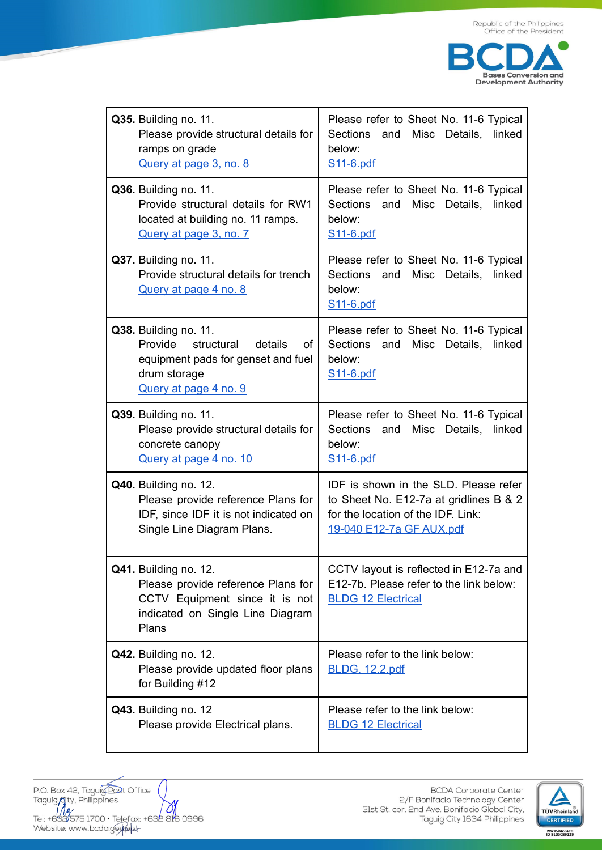

| Q35. Building no. 11.<br>Please provide structural details for<br>ramps on grade<br>Query at page 3, no. 8                                     | Please refer to Sheet No. 11-6 Typical<br>Sections<br>Misc Details,<br>and<br>linked<br>below:<br>S <sub>11</sub> -6.pdf                          |
|------------------------------------------------------------------------------------------------------------------------------------------------|---------------------------------------------------------------------------------------------------------------------------------------------------|
| Q36. Building no. 11.<br>Provide structural details for RW1<br>located at building no. 11 ramps.<br>Query at page 3, no. 7                     | Please refer to Sheet No. 11-6 Typical<br><b>Sections</b><br>Misc Details,<br>and<br>linked<br>below:<br>S <sub>11</sub> -6.pdf                   |
| Q37. Building no. 11.<br>Provide structural details for trench<br><b>Query at page 4 no. 8</b>                                                 | Please refer to Sheet No. 11-6 Typical<br>Sections<br>Misc Details,<br>and<br>linked<br>below:<br>S <sub>11</sub> -6.pdf                          |
| Q38. Building no. 11.<br>structural<br>Provide<br>details<br>of<br>equipment pads for genset and fuel<br>drum storage<br>Query at page 4 no. 9 | Please refer to Sheet No. 11-6 Typical<br>Sections<br>and<br>Misc Details,<br>linked<br>below:<br>S11-6.pdf                                       |
| Q39. Building no. 11.<br>Please provide structural details for<br>concrete canopy<br>Query at page 4 no. 10                                    | Please refer to Sheet No. 11-6 Typical<br>Sections<br>Misc Details,<br>and<br>linked<br>below:<br>S <sub>11</sub> -6.pdf                          |
| Q40. Building no. 12.<br>Please provide reference Plans for<br>IDF, since IDF it is not indicated on<br>Single Line Diagram Plans.             | IDF is shown in the SLD. Please refer<br>to Sheet No. E12-7a at gridlines B & 2<br>for the location of the IDF. Link:<br>19-040 E12-7a GF AUX.pdf |
| Q41. Building no. 12.<br>Please provide reference Plans for<br>CCTV Equipment since it is not<br>indicated on Single Line Diagram<br>Plans     | CCTV layout is reflected in E12-7a and<br>E12-7b. Please refer to the link below:<br><b>BLDG 12 Electrical</b>                                    |
| Q42. Building no. 12.<br>Please provide updated floor plans<br>for Building #12                                                                | Please refer to the link below:<br><b>BLDG. 12.2.pdf</b>                                                                                          |
| Q43. Building no. 12<br>Please provide Electrical plans.                                                                                       | Please refer to the link below:<br><b>BLDG 12 Electrical</b>                                                                                      |



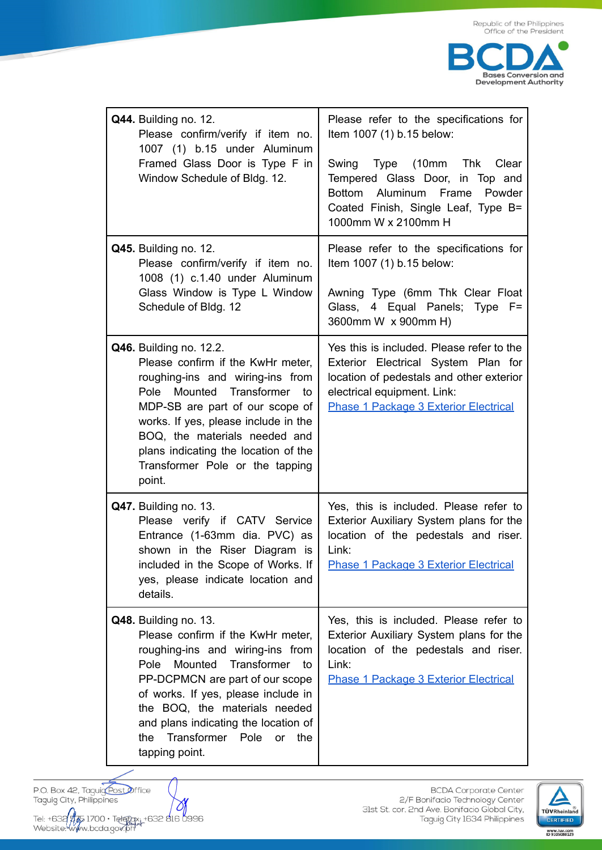

| Q44. Building no. 12.<br>Please confirm/verify if item no.<br>1007 (1) b.15 under Aluminum<br>Framed Glass Door is Type F in<br>Window Schedule of Bldg. 12.                                                                                                                                                                                  | Please refer to the specifications for<br>Item 1007 (1) b.15 below:<br>Type (10mm Thk<br>Swing<br>Clear<br>Tempered Glass Door, in Top and<br>Bottom Aluminum Frame<br>Powder<br>Coated Finish, Single Leaf, Type B=<br>1000mm W x 2100mm H |
|-----------------------------------------------------------------------------------------------------------------------------------------------------------------------------------------------------------------------------------------------------------------------------------------------------------------------------------------------|---------------------------------------------------------------------------------------------------------------------------------------------------------------------------------------------------------------------------------------------|
| Q45. Building no. 12.<br>Please confirm/verify if item no.<br>1008 (1) c.1.40 under Aluminum<br>Glass Window is Type L Window<br>Schedule of Bldg. 12                                                                                                                                                                                         | Please refer to the specifications for<br>Item 1007 (1) b.15 below:<br>Awning Type (6mm Thk Clear Float<br>Glass, 4 Equal Panels; Type F=<br>3600mm W x 900mm H)                                                                            |
| <b>Q46.</b> Building no. 12.2.<br>Please confirm if the KwHr meter,<br>roughing-ins and wiring-ins from<br>Pole Mounted Transformer to<br>MDP-SB are part of our scope of<br>works. If yes, please include in the<br>BOQ, the materials needed and<br>plans indicating the location of the<br>Transformer Pole or the tapping<br>point.       | Yes this is included. Please refer to the<br>Exterior Electrical System Plan for<br>location of pedestals and other exterior<br>electrical equipment. Link:<br><b>Phase 1 Package 3 Exterior Electrical</b>                                 |
| Q47. Building no. 13.<br>Please verify if CATV Service<br>Entrance (1-63mm dia. PVC) as<br>shown in the Riser Diagram is<br>included in the Scope of Works. If<br>yes, please indicate location and<br>details.                                                                                                                               | Yes, this is included. Please refer to<br>Exterior Auxiliary System plans for the<br>location of the pedestals and riser.<br>Link:<br><b>Phase 1 Package 3 Exterior Electrical</b>                                                          |
| Q48. Building no. 13.<br>Please confirm if the KwHr meter,<br>roughing-ins and wiring-ins from<br>Mounted Transformer to<br>Pole<br>PP-DCPMCN are part of our scope<br>of works. If yes, please include in<br>the BOQ, the materials needed<br>and plans indicating the location of<br>Transformer Pole<br>the<br>or<br>the<br>tapping point. | Yes, this is included. Please refer to<br>Exterior Auxiliary System plans for the<br>location of the pedestals and riser.<br>Link:<br><b>Phase 1 Package 3 Exterior Electrical</b>                                                          |

P.O. Box 42, Taguig post Office<br>Taguig City, Philippines

Tel: +632 975 1700 · Telepax: +632 816 0996<br>Website: www.bcda.gov.ph

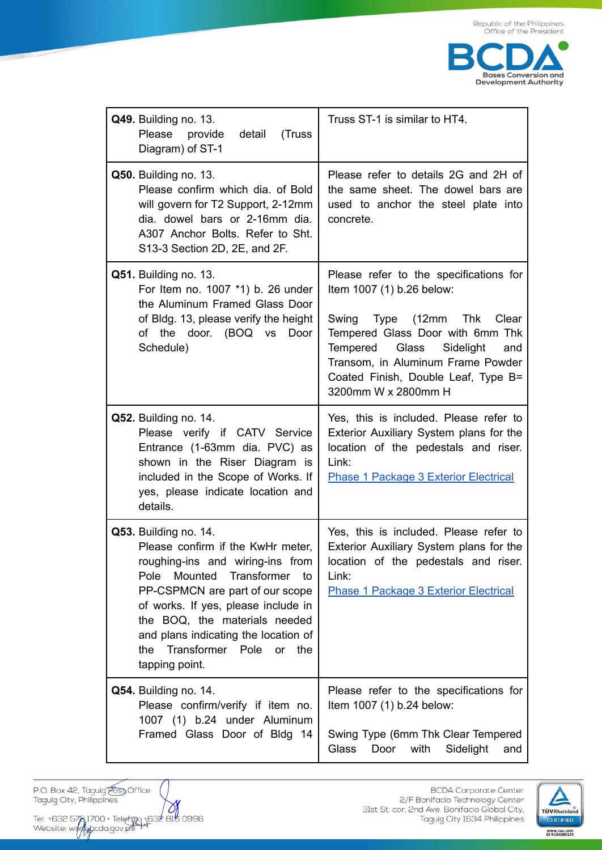

| Q49. Building no. 13.<br>Please provide<br>detail<br>(Truss<br>Diagram) of ST-1                                                                                                                                                                                                                                                            | Truss ST-1 is similar to HT4.                                                                                                                                                                                                                                                           |
|--------------------------------------------------------------------------------------------------------------------------------------------------------------------------------------------------------------------------------------------------------------------------------------------------------------------------------------------|-----------------------------------------------------------------------------------------------------------------------------------------------------------------------------------------------------------------------------------------------------------------------------------------|
| Q50. Building no. 13.<br>Please confirm which dia. of Bold<br>will govern for T2 Support, 2-12mm<br>dia. dowel bars or 2-16mm dia.<br>A307 Anchor Bolts. Refer to Sht.<br>S13-3 Section 2D, 2E, and 2F.                                                                                                                                    | Please refer to details 2G and 2H of<br>the same sheet. The dowel bars are<br>used to anchor the steel plate into<br>concrete.                                                                                                                                                          |
| Q51. Building no. 13.<br>For Item no. 1007 *1) b. 26 under<br>the Aluminum Framed Glass Door<br>of Bldg. 13, please verify the height<br>of the door. (BOQ vs<br>Door<br>Schedule)                                                                                                                                                         | Please refer to the specifications for<br>Item 1007 (1) b.26 below:<br>Swing<br>Type (12mm Thk<br>Clear<br>Tempered Glass Door with 6mm Thk<br>Glass<br>Sidelight<br>Tempered<br>and<br>Transom, in Aluminum Frame Powder<br>Coated Finish, Double Leaf, Type B=<br>3200mm W x 2800mm H |
| Q52. Building no. 14.<br>Please verify if CATV Service<br>Entrance (1-63mm dia. PVC) as<br>shown in the Riser Diagram is<br>included in the Scope of Works. If<br>yes, please indicate location and<br>details.                                                                                                                            | Yes, this is included. Please refer to<br>Exterior Auxiliary System plans for the<br>location of the pedestals and riser.<br>Link:<br><b>Phase 1 Package 3 Exterior Electrical</b>                                                                                                      |
| Q53. Building no. 14.<br>Please confirm if the KwHr meter,<br>roughing-ins and wiring-ins from<br>Mounted<br>Transformer to<br>Pole<br>PP-CSPMCN are part of our scope<br>of works. If yes, please include in<br>the BOQ, the materials needed<br>and plans indicating the location of<br>Transformer Pole or the<br>the<br>tapping point. | Yes, this is included. Please refer to<br>Exterior Auxiliary System plans for the<br>location of the pedestals and riser.<br>Link:<br><b>Phase 1 Package 3 Exterior Electrical</b>                                                                                                      |
| Q54. Building no. 14.<br>Please confirm/verify if item no.<br>1007 (1) b.24 under Aluminum<br>Framed Glass Door of Bldg 14                                                                                                                                                                                                                 | Please refer to the specifications for<br>Item 1007 (1) b.24 below:<br>Swing Type (6mm Thk Clear Tempered<br><b>Glass</b><br>Door<br>with<br>Sidelight<br>and                                                                                                                           |

P.O. Box 42, Taguig Cost Office<br>Taguig City, Philippines

Tel: +632 575 1700 • Telefgy: +632 818 0996<br>Website: www.yoda.gov.ph

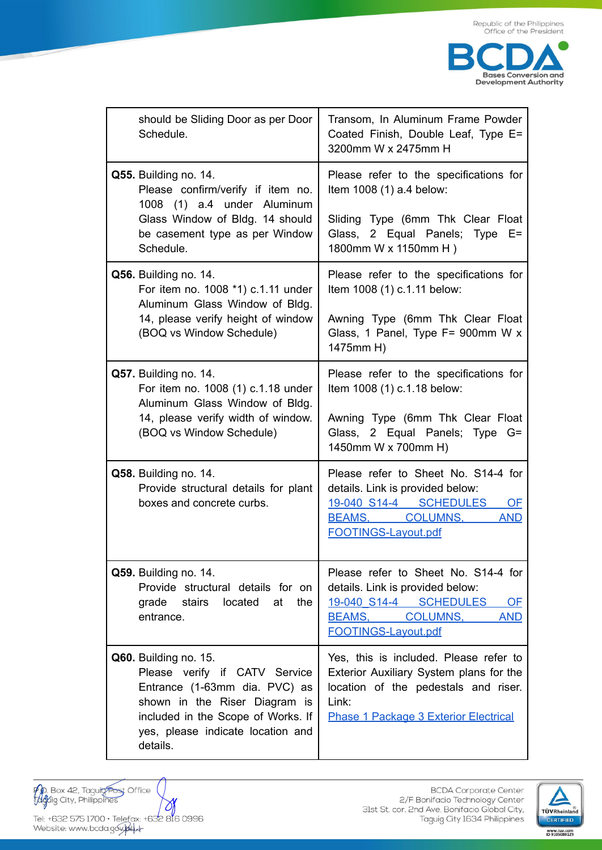

| should be Sliding Door as per Door<br>Schedule.                                                                                                                                                                        | Transom, In Aluminum Frame Powder<br>Coated Finish, Double Leaf, Type E=<br>3200mm W x 2475mm H                                                                                    |
|------------------------------------------------------------------------------------------------------------------------------------------------------------------------------------------------------------------------|------------------------------------------------------------------------------------------------------------------------------------------------------------------------------------|
| Q55. Building no. 14.<br>Please confirm/verify if item no.<br>1008 (1) a.4 under Aluminum<br>Glass Window of Bldg. 14 should                                                                                           | Please refer to the specifications for<br>Item 1008 (1) a.4 below:<br>Sliding Type (6mm Thk Clear Float                                                                            |
| be casement type as per Window<br>Schedule.                                                                                                                                                                            | Glass, 2 Equal Panels; Type E=<br>1800mm W x 1150mm H)                                                                                                                             |
| Q56. Building no. 14.<br>For item no. 1008 *1) c.1.11 under<br>Aluminum Glass Window of Bldg.<br>14, please verify height of window<br>(BOQ vs Window Schedule)                                                        | Please refer to the specifications for<br>Item 1008 (1) c.1.11 below:                                                                                                              |
|                                                                                                                                                                                                                        | Awning Type (6mm Thk Clear Float<br>Glass, 1 Panel, Type F= 900mm W x<br>1475mm H)                                                                                                 |
| Q57. Building no. 14.<br>For item no. 1008 (1) c.1.18 under<br>Aluminum Glass Window of Bldg.<br>14, please verify width of window.<br>(BOQ vs Window Schedule)                                                        | Please refer to the specifications for<br>Item 1008 (1) c.1.18 below:                                                                                                              |
|                                                                                                                                                                                                                        | Awning Type (6mm Thk Clear Float<br>Glass, 2 Equal Panels; Type G=<br>1450mm W x 700mm H)                                                                                          |
| Q58. Building no. 14.<br>Provide structural details for plant<br>boxes and concrete curbs.                                                                                                                             | Please refer to Sheet No. S14-4 for<br>details. Link is provided below:<br>19-040 S14-4 SCHEDULES<br>OF<br>BEAMS, COLUMNS,<br><b>AND</b><br>FOOTINGS-Layout.pdf                    |
| Q59. Building no. 14.<br>Provide structural details for on<br>grade stairs<br>located<br>at<br>the<br>entrance.                                                                                                        | Please refer to Sheet No. S14-4 for<br>details. Link is provided below:<br>19-040 S14-4 SCHEDULES<br>OF<br>BEAMS,<br><b>COLUMNS,</b><br><b>AND</b><br><b>FOOTINGS-Layout.pdf</b>   |
| <b>Q60.</b> Building no. 15.<br>Please verify if CATV Service<br>Entrance (1-63mm dia. PVC) as<br>shown in the Riser Diagram is<br>included in the Scope of Works. If<br>yes, please indicate location and<br>details. | Yes, this is included. Please refer to<br>Exterior Auxiliary System plans for the<br>location of the pedestals and riser.<br>Link:<br><b>Phase 1 Package 3 Exterior Electrical</b> |

**140**. Box 42, Tagui<del>g Post</del> Office<br>Tagaig City, Philippines  $\mathcal{O}$ Tel: +632 575 1700 • Telefax: +632 816 0996<br>Website: www.bcda.goy.jag.

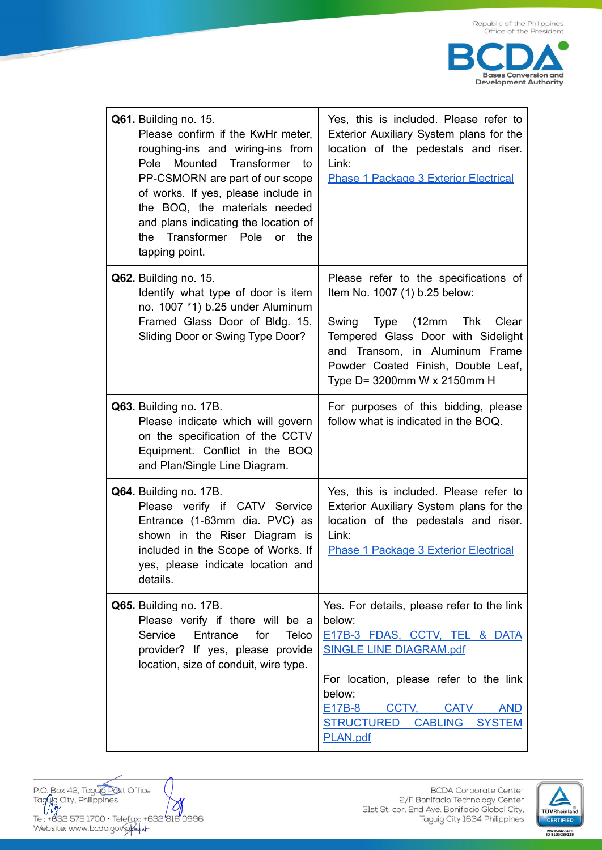

| Q61. Building no. 15.<br>Please confirm if the KwHr meter,<br>roughing-ins and wiring-ins from<br>Pole Mounted Transformer to<br>PP-CSMORN are part of our scope<br>of works. If yes, please include in<br>the BOQ, the materials needed<br>and plans indicating the location of<br>the Transformer Pole or the<br>tapping point. | Yes, this is included. Please refer to<br>Exterior Auxiliary System plans for the<br>location of the pedestals and riser.<br>Link:<br><b>Phase 1 Package 3 Exterior Electrical</b>                                                                                   |
|-----------------------------------------------------------------------------------------------------------------------------------------------------------------------------------------------------------------------------------------------------------------------------------------------------------------------------------|----------------------------------------------------------------------------------------------------------------------------------------------------------------------------------------------------------------------------------------------------------------------|
| Q62. Building no. 15.<br>Identify what type of door is item<br>no. 1007 *1) b.25 under Aluminum<br>Framed Glass Door of Bldg. 15.<br>Sliding Door or Swing Type Door?                                                                                                                                                             | Please refer to the specifications of<br>Item No. 1007 (1) b.25 below:<br>Swing Type (12mm Thk<br>Clear<br>Tempered Glass Door with Sidelight<br>and Transom, in Aluminum Frame<br>Powder Coated Finish, Double Leaf,<br>Type D= 3200mm W x 2150mm H                 |
| Q63. Building no. 17B.<br>Please indicate which will govern<br>on the specification of the CCTV<br>Equipment. Conflict in the BOQ<br>and Plan/Single Line Diagram.                                                                                                                                                                | For purposes of this bidding, please<br>follow what is indicated in the BOQ.                                                                                                                                                                                         |
| Q64. Building no. 17B.<br>Please verify if CATV Service<br>Entrance (1-63mm dia. PVC) as<br>shown in the Riser Diagram is<br>included in the Scope of Works. If<br>yes, please indicate location and<br>details.                                                                                                                  | Yes, this is included. Please refer to<br>Exterior Auxiliary System plans for the<br>location of the pedestals and riser.<br>Link:<br><b>Phase 1 Package 3 Exterior Electrical</b>                                                                                   |
| Q65. Building no. 17B.<br>Please verify if there will be a<br>Service<br>Entrance<br>for<br>Telco<br>provider? If yes, please provide<br>location, size of conduit, wire type.                                                                                                                                                    | Yes. For details, please refer to the link<br>below:<br>E17B-3 FDAS, CCTV, TEL & DATA<br><b>SINGLE LINE DIAGRAM.pdf</b><br>For location, please refer to the link<br>below:<br>CCTV.<br><b>CATV</b><br>E17B-8<br><b>AND</b><br>STRUCTURED CABLING SYSTEM<br>PLAN.pdf |

P.O. Box 42, Taguig Post Office<br>Tagaig City, Philippines  $\mathcal O$ Tel: +832 575 1700 • Telefax: +632 816 0996<br>Website: www.bcda.gov.pkw/

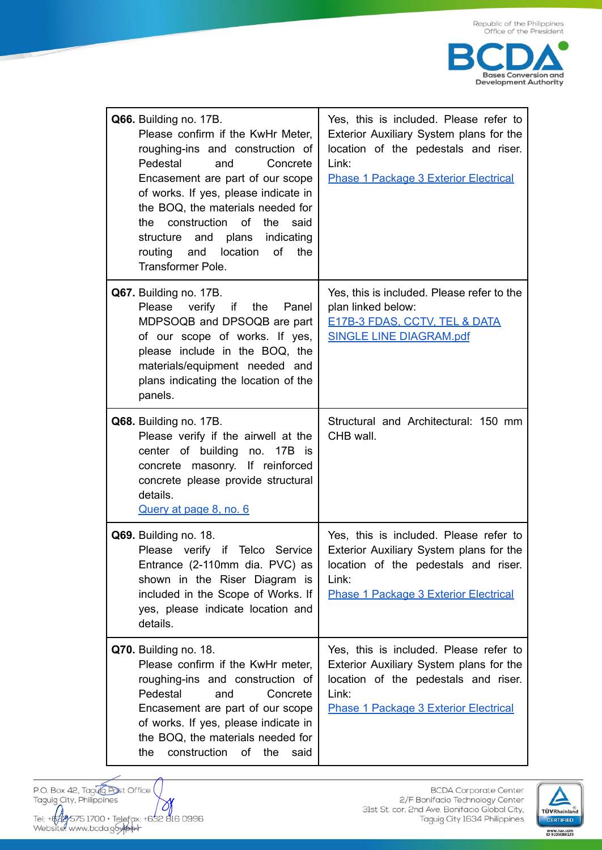

| Q66. Building no. 17B.<br>Please confirm if the KwHr Meter,<br>roughing-ins and construction of<br>Pedestal<br>and<br>Concrete<br>Encasement are part of our scope<br>of works. If yes, please indicate in<br>the BOQ, the materials needed for<br>the construction of<br>the<br>said<br>structure and plans indicating<br>routing<br>location<br>of<br>the<br>and<br><b>Transformer Pole.</b> | Yes, this is included. Please refer to<br>Exterior Auxiliary System plans for the<br>location of the pedestals and riser.<br>Link:<br><b>Phase 1 Package 3 Exterior Electrical</b> |
|------------------------------------------------------------------------------------------------------------------------------------------------------------------------------------------------------------------------------------------------------------------------------------------------------------------------------------------------------------------------------------------------|------------------------------------------------------------------------------------------------------------------------------------------------------------------------------------|
| Q67. Building no. 17B.<br>Please<br>verify<br>if<br>the Panel<br>MDPSOQB and DPSOQB are part<br>of our scope of works. If yes,<br>please include in the BOQ, the<br>materials/equipment needed and<br>plans indicating the location of the<br>panels.                                                                                                                                          | Yes, this is included. Please refer to the<br>plan linked below:<br><b>E17B-3 FDAS, CCTV, TEL &amp; DATA</b><br><b>SINGLE LINE DIAGRAM.pdf</b>                                     |
| Q68. Building no. 17B.<br>Please verify if the airwell at the<br>center of building no. 17B is<br>concrete masonry. If reinforced<br>concrete please provide structural<br>details.<br>Query at page 8, no. 6                                                                                                                                                                                  | Structural and Architectural: 150 mm<br>CHB wall.                                                                                                                                  |
| Q69. Building no. 18.<br>Please verify<br>if Telco Service<br>Entrance (2-110mm dia. PVC) as<br>shown in the Riser Diagram is<br>included in the Scope of Works. If<br>yes, please indicate location and<br>details.                                                                                                                                                                           | Yes, this is included. Please refer to<br>Exterior Auxiliary System plans for the<br>location of the pedestals and riser.<br>Link:<br><b>Phase 1 Package 3 Exterior Electrical</b> |
| Q70. Building no. 18.<br>Please confirm if the KwHr meter,<br>roughing-ins and construction of<br>Pedestal<br>Concrete<br>and<br>Encasement are part of our scope<br>of works. If yes, please indicate in<br>the BOQ, the materials needed for<br>construction<br>of<br>the<br>the<br>said                                                                                                     | Yes, this is included. Please refer to<br>Exterior Auxiliary System plans for the<br>location of the pedestals and riser.<br>Link:<br>Phase 1 Package 3 Exterior Electrical        |

P.O. Box 42, Taguig Post Office<br>Taguig City, Philippines Tel: +642y575 1700 · Telefax: +632 816 0996<br>Website: www.bcda.g6ykWk

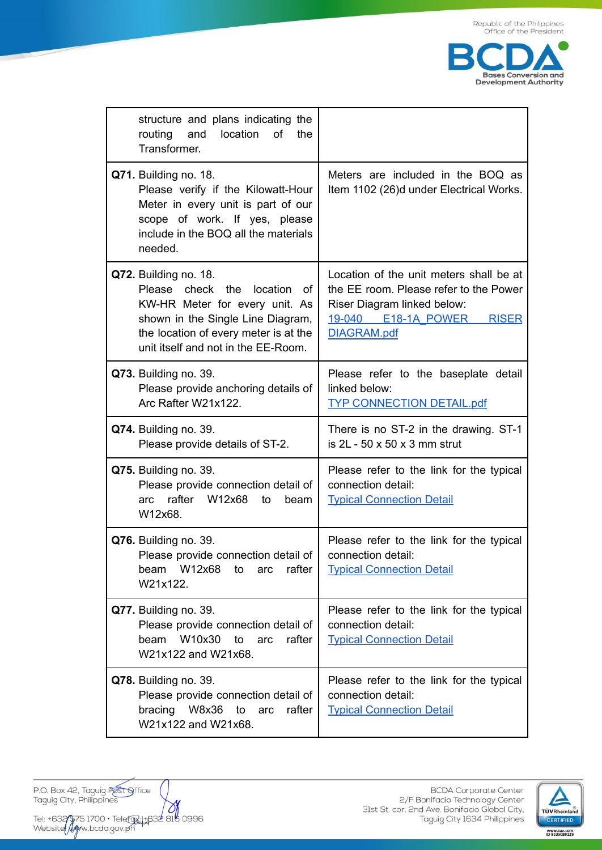

| structure and plans indicating the<br>routing<br>and<br>location<br>οf<br>the<br>Transformer.                                                                                                                      |                                                                                                                                                                        |
|--------------------------------------------------------------------------------------------------------------------------------------------------------------------------------------------------------------------|------------------------------------------------------------------------------------------------------------------------------------------------------------------------|
| Q71. Building no. 18.<br>Please verify if the Kilowatt-Hour<br>Meter in every unit is part of our<br>scope of work. If yes, please<br>include in the BOQ all the materials<br>needed.                              | Meters are included in the BOQ as<br>Item 1102 (26)d under Electrical Works.                                                                                           |
| Q72. Building no. 18.<br>check the location<br>Please<br>Ωf<br>KW-HR Meter for every unit. As<br>shown in the Single Line Diagram,<br>the location of every meter is at the<br>unit itself and not in the EE-Room. | Location of the unit meters shall be at<br>the EE room. Please refer to the Power<br>Riser Diagram linked below:<br>19-040 E18-1A POWER<br><b>RISER</b><br>DIAGRAM.pdf |
| Q73. Building no. 39.<br>Please provide anchoring details of<br>Arc Rafter W21x122.                                                                                                                                | Please refer to the baseplate detail<br>linked below:<br><b>TYP CONNECTION DETAIL.pdf</b>                                                                              |
| Q74. Building no. 39.<br>Please provide details of ST-2.                                                                                                                                                           | There is no ST-2 in the drawing. ST-1<br>is $2L - 50 \times 50 \times 3$ mm strut                                                                                      |
| Q75. Building no. 39.<br>Please provide connection detail of<br>rafter W12x68<br>to<br>beam<br>arc<br>W12x68.                                                                                                      | Please refer to the link for the typical<br>connection detail:<br><b>Typical Connection Detail</b>                                                                     |
| Q76. Building no. 39.<br>Please provide connection detail of<br>beam W12x68<br>rafter<br>arc<br>to<br>W21x122.                                                                                                     | Please refer to the link for the typical<br>connection detail:<br><b>Typical Connection Detail</b>                                                                     |
| Q77. Building no. 39.<br>Please provide connection detail of<br>W10x30<br>beam<br>to<br>rafter<br>arc<br>W21x122 and W21x68.                                                                                       | Please refer to the link for the typical<br>connection detail:<br><b>Typical Connection Detail</b>                                                                     |
| Q78. Building no. 39.<br>Please provide connection detail of<br>W8x36<br>bracing<br>rafter<br>to<br>arc<br>W21x122 and W21x68.                                                                                     | Please refer to the link for the typical<br>connection detail:<br><b>Typical Connection Detail</b>                                                                     |

P.O. Box 42, Taguig Pest Office<br>Taguig City, Philippines

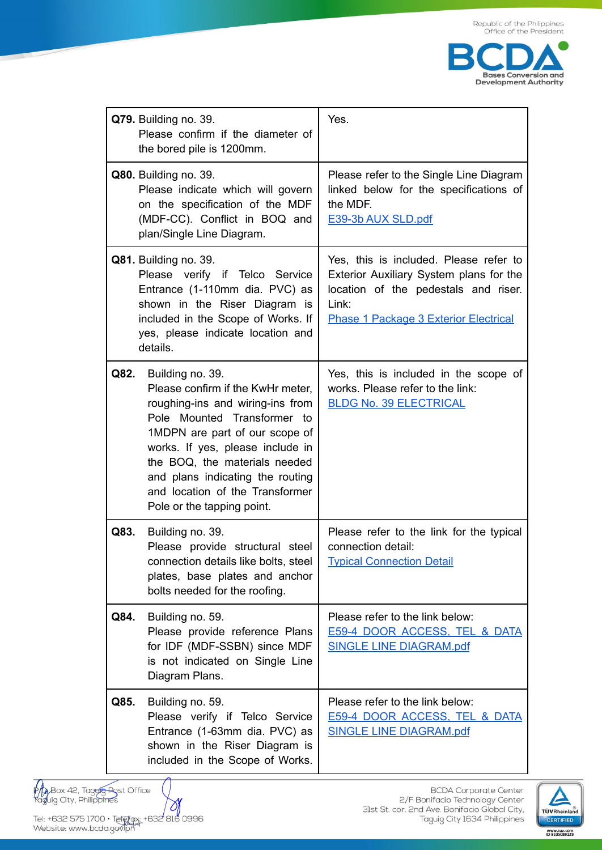

|      | Q79. Building no. 39.<br>Please confirm if the diameter of<br>the bored pile is 1200mm.                                                                                                                                                                                                                                              | Yes.                                                                                                                                                                               |
|------|--------------------------------------------------------------------------------------------------------------------------------------------------------------------------------------------------------------------------------------------------------------------------------------------------------------------------------------|------------------------------------------------------------------------------------------------------------------------------------------------------------------------------------|
|      | <b>Q80.</b> Building no. 39.<br>Please indicate which will govern<br>on the specification of the MDF<br>(MDF-CC). Conflict in BOQ and<br>plan/Single Line Diagram.                                                                                                                                                                   | Please refer to the Single Line Diagram<br>linked below for the specifications of<br>the MDF.<br>E39-3b AUX SLD.pdf                                                                |
|      | Q81. Building no. 39.<br>Please verify if Telco Service<br>Entrance (1-110mm dia. PVC) as<br>shown in the Riser Diagram is<br>included in the Scope of Works. If<br>yes, please indicate location and<br>details.                                                                                                                    | Yes, this is included. Please refer to<br>Exterior Auxiliary System plans for the<br>location of the pedestals and riser.<br>Link:<br><b>Phase 1 Package 3 Exterior Electrical</b> |
| Q82. | Building no. 39.<br>Please confirm if the KwHr meter,<br>roughing-ins and wiring-ins from<br>Pole Mounted Transformer to<br>1MDPN are part of our scope of<br>works. If yes, please include in<br>the BOQ, the materials needed<br>and plans indicating the routing<br>and location of the Transformer<br>Pole or the tapping point. | Yes, this is included in the scope of<br>works. Please refer to the link:<br><b>BLDG No. 39 ELECTRICAL</b>                                                                         |
| Q83. | Building no. 39.<br>Please provide structural steel<br>connection details like bolts, steel<br>plates, base plates and anchor<br>bolts needed for the roofing.                                                                                                                                                                       | Please refer to the link for the typical<br>connection detail:<br><b>Typical Connection Detail</b>                                                                                 |
| Q84. | Building no. 59.<br>Please provide reference Plans<br>for IDF (MDF-SSBN) since MDF<br>is not indicated on Single Line<br>Diagram Plans.                                                                                                                                                                                              | Please refer to the link below:<br>E59-4 DOOR ACCESS, TEL & DATA<br><b>SINGLE LINE DIAGRAM.pdf</b>                                                                                 |
| Q85. | Building no. 59.<br>Please verify if Telco Service<br>Entrance (1-63mm dia. PVC) as<br>shown in the Riser Diagram is<br>included in the Scope of Works.                                                                                                                                                                              | Please refer to the link below:<br><b>E59-4 DOOR ACCESS, TEL &amp; DATA</b><br><b>SINGLE LINE DIAGRAM.pdf</b>                                                                      |

PA Box 42, Taguig Post Office<br>Taguig City, Philipp<del>ine</del>s

 $\bowtie$ 

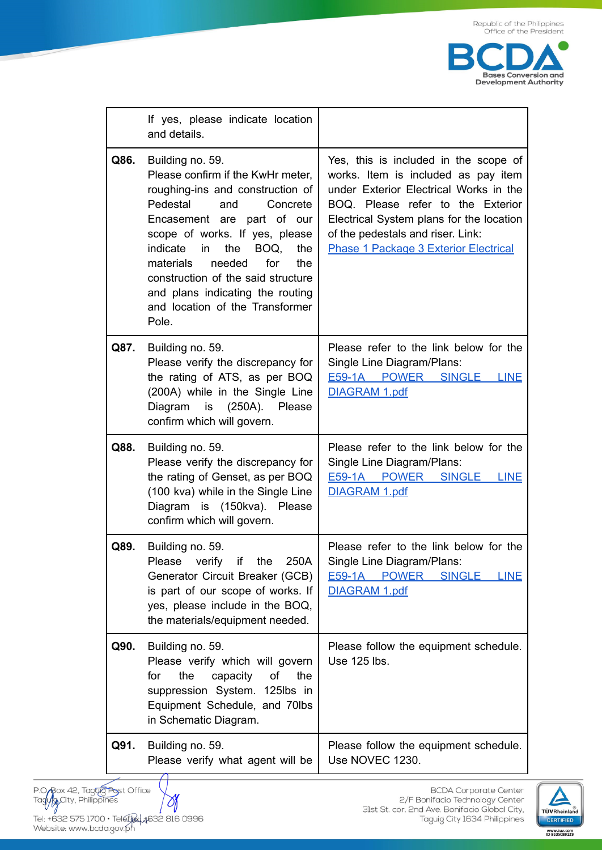

|      | If yes, please indicate location<br>and details.                                                                                                                                                                                                                                                                                                                                         |                                                                                                                                                                                                                                                                                              |
|------|------------------------------------------------------------------------------------------------------------------------------------------------------------------------------------------------------------------------------------------------------------------------------------------------------------------------------------------------------------------------------------------|----------------------------------------------------------------------------------------------------------------------------------------------------------------------------------------------------------------------------------------------------------------------------------------------|
| Q86. | Building no. 59.<br>Please confirm if the KwHr meter,<br>roughing-ins and construction of<br>Pedestal<br>Concrete<br>and<br>Encasement are part of our<br>scope of works. If yes, please<br>indicate in<br>the<br>BOQ,<br>the<br>materials<br>needed<br>for<br>the<br>construction of the said structure<br>and plans indicating the routing<br>and location of the Transformer<br>Pole. | Yes, this is included in the scope of<br>works. Item is included as pay item<br>under Exterior Electrical Works in the<br>BOQ. Please refer to the Exterior<br>Electrical System plans for the location<br>of the pedestals and riser. Link:<br><b>Phase 1 Package 3 Exterior Electrical</b> |
| Q87. | Building no. 59.<br>Please verify the discrepancy for<br>the rating of ATS, as per BOQ<br>(200A) while in the Single Line<br>is<br>(250A).<br>Diagram<br>Please<br>confirm which will govern.                                                                                                                                                                                            | Please refer to the link below for the<br>Single Line Diagram/Plans:<br>E59-1A POWER SINGLE LINE<br>DIAGRAM 1.pdf                                                                                                                                                                            |
| Q88. | Building no. 59.<br>Please verify the discrepancy for<br>the rating of Genset, as per BOQ<br>(100 kva) while in the Single Line<br>Diagram is (150kva). Please<br>confirm which will govern.                                                                                                                                                                                             | Please refer to the link below for the<br>Single Line Diagram/Plans:<br>E59-1A POWER SINGLE LINE<br>DIAGRAM 1.pdf                                                                                                                                                                            |
| Q89. | Building no. 59.<br>Please<br>verify if the<br>250A<br>Generator Circuit Breaker (GCB)<br>is part of our scope of works. If<br>yes, please include in the BOQ,<br>the materials/equipment needed.                                                                                                                                                                                        | Please refer to the link below for the<br>Single Line Diagram/Plans:<br>E59-1A POWER<br><b>SINGLE</b><br><b>LINE</b><br><b>DIAGRAM 1.pdf</b>                                                                                                                                                 |
| Q90. | Building no. 59.<br>Please verify which will govern<br>the<br>capacity<br>for<br>оf<br>the<br>suppression System. 125lbs in<br>Equipment Schedule, and 70lbs<br>in Schematic Diagram.                                                                                                                                                                                                    | Please follow the equipment schedule.<br>Use 125 lbs.                                                                                                                                                                                                                                        |
| Q91. | Building no. 59.<br>Please verify what agent will be                                                                                                                                                                                                                                                                                                                                     | Please follow the equipment schedule.<br>Use NOVEC 1230.                                                                                                                                                                                                                                     |

P.O. Rox 42, Tag<del>ug Po</del>st Office<br>Tagug City, Philippines  $\rightsquigarrow$ Tel: +632 575 1700 • Telefre 1,1632 816 0996<br>Website: www.bcda.gov.ph

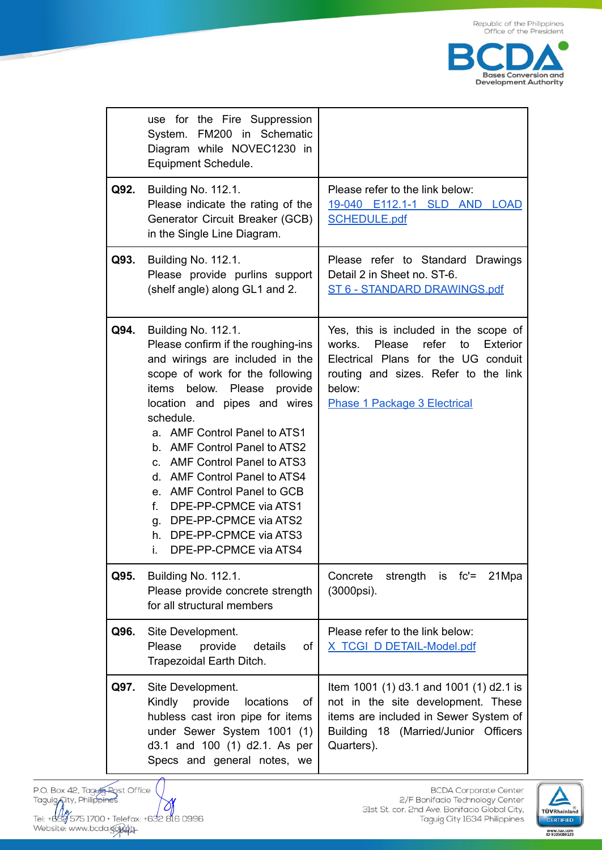

|      | use for the Fire Suppression<br>FM200 in Schematic<br>System.<br>Diagram while NOVEC1230 in<br>Equipment Schedule.                                                                                                                                                                                                                                                                                                                                                                                                         |                                                                                                                                                                                                                      |
|------|----------------------------------------------------------------------------------------------------------------------------------------------------------------------------------------------------------------------------------------------------------------------------------------------------------------------------------------------------------------------------------------------------------------------------------------------------------------------------------------------------------------------------|----------------------------------------------------------------------------------------------------------------------------------------------------------------------------------------------------------------------|
| Q92. | <b>Building No. 112.1.</b><br>Please indicate the rating of the<br>Generator Circuit Breaker (GCB)<br>in the Single Line Diagram.                                                                                                                                                                                                                                                                                                                                                                                          | Please refer to the link below:<br>19-040 E112.1-1 SLD AND LOAD<br><b>SCHEDULE.pdf</b>                                                                                                                               |
| Q93. | <b>Building No. 112.1.</b><br>Please provide purlins support<br>(shelf angle) along GL1 and 2.                                                                                                                                                                                                                                                                                                                                                                                                                             | Please refer to Standard Drawings<br>Detail 2 in Sheet no. ST-6.<br>ST 6 - STANDARD DRAWINGS.pdf                                                                                                                     |
| Q94. | <b>Building No. 112.1.</b><br>Please confirm if the roughing-ins<br>and wirings are included in the<br>scope of work for the following<br>items<br>below.<br>Please<br>provide<br>location and pipes and wires<br>schedule.<br>a. AMF Control Panel to ATS1<br>b. AMF Control Panel to ATS2<br>c. AMF Control Panel to ATS3<br>d. AMF Control Panel to ATS4<br>e. AMF Control Panel to GCB<br>$f_{\rm{r}}$<br>DPE-PP-CPMCE via ATS1<br>g. DPE-PP-CPMCE via ATS2<br>h. DPE-PP-CPMCE via ATS3<br>DPE-PP-CPMCE via ATS4<br>i. | Yes, this is included in the scope of<br>Please<br>refer<br>works.<br>to<br>Exterior<br>Electrical Plans for the UG conduit<br>routing and sizes. Refer to the link<br>below:<br><b>Phase 1 Package 3 Electrical</b> |
| Q95. | Building No. 112.1.<br>Please provide concrete strength<br>for all structural members                                                                                                                                                                                                                                                                                                                                                                                                                                      | Concrete<br>strength is fc'= 21Mpa<br>(3000psi).                                                                                                                                                                     |
| Q96. | Site Development.<br>Please<br>provide<br>details<br>οf<br>Trapezoidal Earth Ditch.                                                                                                                                                                                                                                                                                                                                                                                                                                        | Please refer to the link below:<br>X TCGI D DETAIL-Model.pdf                                                                                                                                                         |
| Q97. | Site Development.<br>Kindly<br>provide<br>locations<br>οf<br>hubless cast iron pipe for items<br>under Sewer System 1001 (1)<br>d3.1 and 100 (1) d2.1. As per<br>Specs and general notes, we                                                                                                                                                                                                                                                                                                                               | Item 1001 (1) d3.1 and 1001 (1) d2.1 is<br>not in the site development. These<br>items are included in Sewer System of<br>Building 18 (Married/Junior Officers<br>Quarters).                                         |

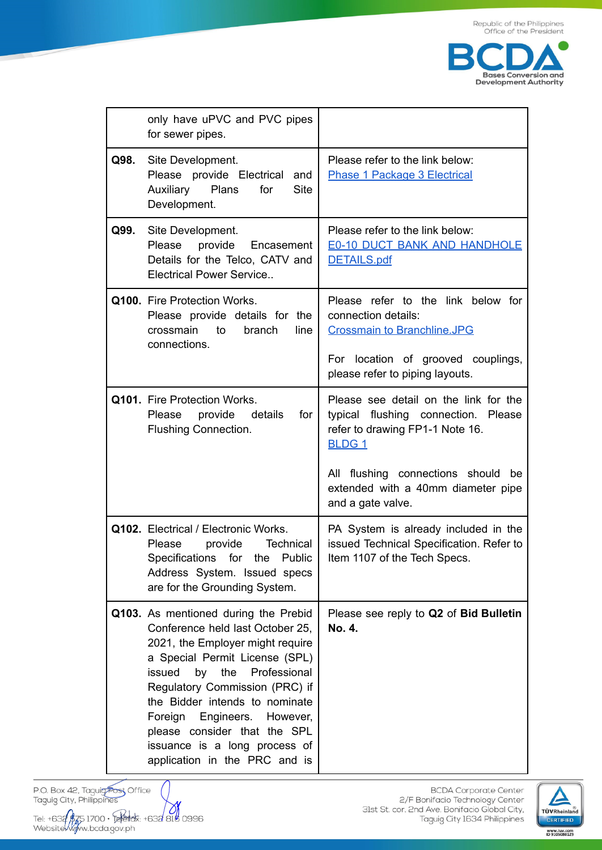

|      | only have uPVC and PVC pipes<br>for sewer pipes.                                                                                                                                                                                                                                                                                                                                              |                                                                                                                                                                          |
|------|-----------------------------------------------------------------------------------------------------------------------------------------------------------------------------------------------------------------------------------------------------------------------------------------------------------------------------------------------------------------------------------------------|--------------------------------------------------------------------------------------------------------------------------------------------------------------------------|
| Q98. | Site Development.<br>Please provide Electrical<br>and<br>Auxiliary Plans<br><b>Site</b><br>for<br>Development.                                                                                                                                                                                                                                                                                | Please refer to the link below:<br><b>Phase 1 Package 3 Electrical</b>                                                                                                   |
| Q99. | Site Development.<br>Please provide<br>Encasement<br>Details for the Telco, CATV and<br><b>Electrical Power Service</b>                                                                                                                                                                                                                                                                       | Please refer to the link below:<br><b>E0-10 DUCT BANK AND HANDHOLE</b><br><b>DETAILS.pdf</b>                                                                             |
|      | Q100. Fire Protection Works.<br>Please provide details for the<br>branch<br>crossmain<br>to<br>line<br>connections.                                                                                                                                                                                                                                                                           | Please refer to the link below for<br>connection details:<br><b>Crossmain to Branchline.JPG</b><br>For location of grooved couplings,<br>please refer to piping layouts. |
|      | Q101. Fire Protection Works.<br>provide<br>Please<br>details<br>for<br><b>Flushing Connection.</b>                                                                                                                                                                                                                                                                                            | Please see detail on the link for the<br>typical flushing connection. Please<br>refer to drawing FP1-1 Note 16.<br><b>BLDG1</b>                                          |
|      |                                                                                                                                                                                                                                                                                                                                                                                               | All flushing connections should be<br>extended with a 40mm diameter pipe<br>and a gate valve.                                                                            |
|      | Q102. Electrical / Electronic Works.<br><b>Technical</b><br>Please<br>provide<br>Specifications for the Public<br>Address System. Issued specs<br>are for the Grounding System.                                                                                                                                                                                                               | PA System is already included in the<br>issued Technical Specification. Refer to<br>Item 1107 of the Tech Specs.                                                         |
|      | Q103. As mentioned during the Prebid<br>Conference held last October 25,<br>2021, the Employer might require<br>a Special Permit License (SPL)<br>Professional<br>issued<br>the<br>by<br>Regulatory Commission (PRC) if<br>the Bidder intends to nominate<br>Engineers. However,<br>Foreign<br>please consider that the SPL<br>issuance is a long process of<br>application in the PRC and is | Please see reply to Q2 of Bid Bulletin<br>No. 4.                                                                                                                         |

P.O. Box 42, Taguig Post Office<br>Taguig City, Philippines 

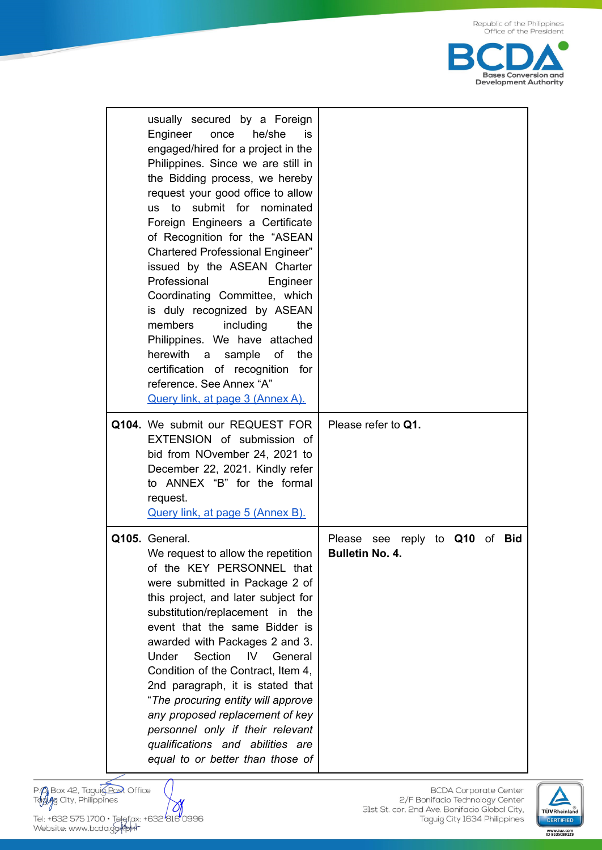

| usually secured by a Foreign<br>Engineer<br>he/she<br>once<br>is<br>engaged/hired for a project in the<br>Philippines. Since we are still in<br>the Bidding process, we hereby<br>request your good office to allow<br>us to submit for nominated<br>Foreign Engineers a Certificate<br>of Recognition for the "ASEAN<br>Chartered Professional Engineer"<br>issued by the ASEAN Charter<br>Professional<br>Engineer<br>Coordinating Committee, which<br>is duly recognized by ASEAN<br>including<br>members<br>the<br>Philippines. We have attached<br>herewith<br>of<br>the<br>sample<br>a a<br>certification of recognition<br>for<br>reference. See Annex "A"<br>Query link, at page 3 (Annex A). |                                                                             |
|-------------------------------------------------------------------------------------------------------------------------------------------------------------------------------------------------------------------------------------------------------------------------------------------------------------------------------------------------------------------------------------------------------------------------------------------------------------------------------------------------------------------------------------------------------------------------------------------------------------------------------------------------------------------------------------------------------|-----------------------------------------------------------------------------|
| Q104. We submit our REQUEST FOR<br>EXTENSION of submission of<br>bid from NOvember 24, 2021 to<br>December 22, 2021. Kindly refer<br>to ANNEX "B" for the formal<br>request.<br>Query link, at page 5 (Annex B).                                                                                                                                                                                                                                                                                                                                                                                                                                                                                      | Please refer to Q1.                                                         |
| Q105. General.<br>We request to allow the repetition<br>of the KEY PERSONNEL that<br>were submitted in Package 2 of<br>this project, and later subject for<br>substitution/replacement in the<br>event that the same Bidder is<br>awarded with Packages 2 and 3.<br>Section<br>Under<br>IV<br>General<br>Condition of the Contract, Item 4,<br>2nd paragraph, it is stated that<br>"The procuring entity will approve<br>any proposed replacement of key<br>personnel only if their relevant<br>qualifications and abilities are<br>equal to or better than those of                                                                                                                                  | reply to<br>Q10<br>of <b>Bid</b><br>Please<br>see<br><b>Bulletin No. 4.</b> |

P. O. Box 42, Taguig Post Office

O, Tel: +632 575 1700 • Telefax: +632 816 0996<br>Website: www.bcda.gof/phr

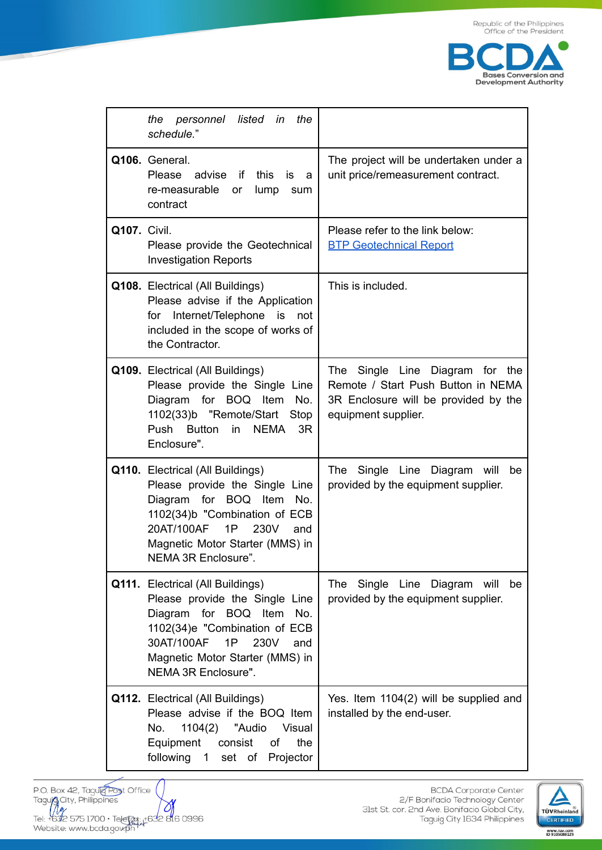

|                     | listed in<br>the<br>the<br>personnel<br>schedule."                                                                                                                                                                              |                                                                                                                                      |
|---------------------|---------------------------------------------------------------------------------------------------------------------------------------------------------------------------------------------------------------------------------|--------------------------------------------------------------------------------------------------------------------------------------|
|                     | Q106. General.<br><b>Please</b><br>advise<br>if<br>this<br>is<br>a<br>re-measurable<br>lump<br>or<br>sum<br>contract                                                                                                            | The project will be undertaken under a<br>unit price/remeasurement contract.                                                         |
| <b>Q107. Civil.</b> | Please provide the Geotechnical<br><b>Investigation Reports</b>                                                                                                                                                                 | Please refer to the link below:<br><b>BTP Geotechnical Report</b>                                                                    |
|                     | Q108. Electrical (All Buildings)<br>Please advise if the Application<br>Internet/Telephone is<br>for<br>not<br>included in the scope of works of<br>the Contractor.                                                             | This is included.                                                                                                                    |
|                     | Q109. Electrical (All Buildings)<br>Please provide the Single Line<br>Diagram for BOQ Item<br>No.<br>1102(33)b "Remote/Start<br>Stop<br>Push<br><b>Button</b><br>in<br><b>NEMA</b><br>3R<br>Enclosure".                         | The Single Line Diagram for the<br>Remote / Start Push Button in NEMA<br>3R Enclosure will be provided by the<br>equipment supplier. |
|                     | Q110. Electrical (All Buildings)<br>Please provide the Single Line<br>Diagram for BOQ Item<br>No.<br>1102(34)b "Combination of ECB<br>20AT/100AF<br>1P<br>230V<br>and<br>Magnetic Motor Starter (MMS) in<br>NEMA 3R Enclosure". | Single Line Diagram will<br>The<br>be<br>provided by the equipment supplier.                                                         |
|                     | Q111. Electrical (All Buildings)<br>Please provide the Single Line<br>Diagram for BOQ Item<br>No.<br>1102(34)e "Combination of ECB<br>30AT/100AF<br>1P<br>230V<br>and<br>Magnetic Motor Starter (MMS) in<br>NEMA 3R Enclosure". | Single Line Diagram<br>The<br>will<br>be<br>provided by the equipment supplier.                                                      |
|                     | Q112. Electrical (All Buildings)<br>Please advise if the BOQ Item<br>No.<br>1104(2) "Audio<br>Visual<br>Equipment<br>consist<br>of<br>the<br>following 1 set of Projector                                                       | Yes. Item 1104(2) will be supplied and<br>installed by the end-user.                                                                 |

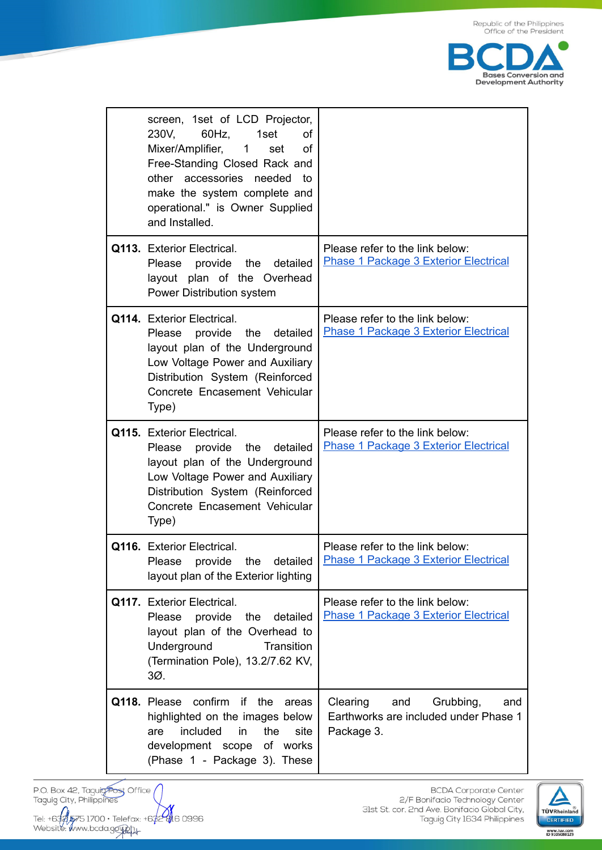

| screen, 1set of LCD Projector,<br>$60Hz$ ,<br>230V.<br>1set<br>οf<br>Mixer/Amplifier, 1<br>οf<br>set<br>Free-Standing Closed Rack and<br>other accessories needed<br>to<br>make the system complete and<br>operational." is Owner Supplied<br>and Installed. |                                                                                            |
|--------------------------------------------------------------------------------------------------------------------------------------------------------------------------------------------------------------------------------------------------------------|--------------------------------------------------------------------------------------------|
| <b>Q113. Exterior Electrical.</b><br>Please provide<br>the<br>detailed<br>layout plan of the Overhead<br>Power Distribution system                                                                                                                           | Please refer to the link below:<br><b>Phase 1 Package 3 Exterior Electrical</b>            |
| Q114. Exterior Electrical.<br>Please provide<br>the<br>detailed<br>layout plan of the Underground<br>Low Voltage Power and Auxiliary<br>Distribution System (Reinforced<br>Concrete Encasement Vehicular<br>Type)                                            | Please refer to the link below:<br><b>Phase 1 Package 3 Exterior Electrical</b>            |
| Q115. Exterior Electrical.<br>Please provide<br>the<br>detailed<br>layout plan of the Underground<br>Low Voltage Power and Auxiliary<br>Distribution System (Reinforced<br>Concrete Encasement Vehicular<br>Type)                                            | Please refer to the link below:<br><b>Phase 1 Package 3 Exterior Electrical</b>            |
| Q116. Exterior Electrical.<br>Please provide the detailed<br>layout plan of the Exterior lighting                                                                                                                                                            | Please refer to the link below:<br><b>Phase 1 Package 3 Exterior Electrical</b>            |
| Q117. Exterior Electrical.<br>Please provide<br>the<br>detailed<br>layout plan of the Overhead to<br>Underground<br>Transition<br>(Termination Pole), 13.2/7.62 KV,<br>3Ø.                                                                                   | Please refer to the link below:<br><b>Phase 1 Package 3 Exterior Electrical</b>            |
| Q118. Please confirm if the<br>areas<br>highlighted on the images below<br>included<br>in<br>the<br>site<br>are<br>development scope of works<br>(Phase 1 - Package 3). These                                                                                | Clearing<br>and<br>Grubbing,<br>and<br>Earthworks are included under Phase 1<br>Package 3. |

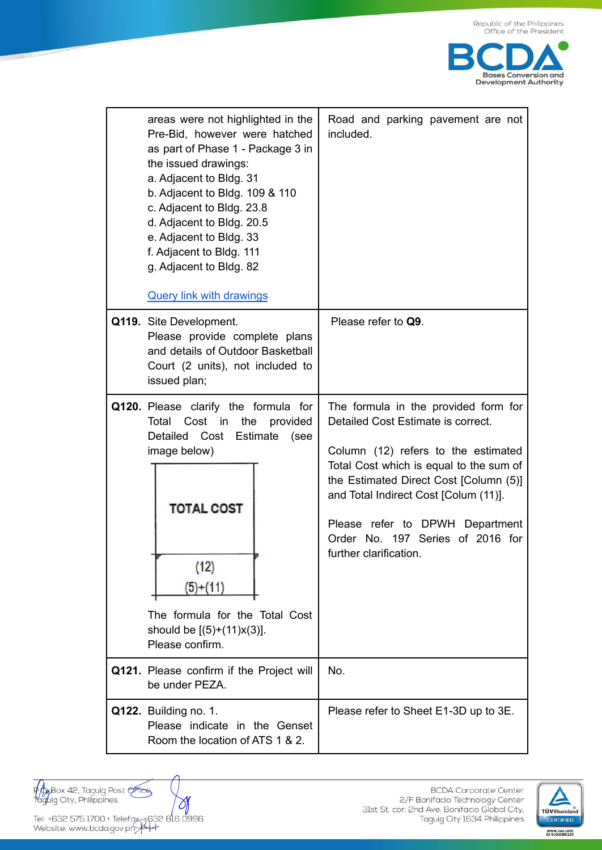

| areas were not highlighted in the<br>Pre-Bid, however were hatched<br>as part of Phase 1 - Package 3 in<br>the issued drawings:<br>a. Adjacent to Bldg. 31<br>b. Adjacent to Bldg. 109 & 110<br>c. Adjacent to Bldg. 23.8<br>d. Adjacent to Bldg. 20.5<br>e. Adjacent to Bldg. 33<br>f. Adjacent to Bldg. 111<br>g. Adjacent to Bldg. 82<br><b>Query link with drawings</b> | Road and parking pavement are not<br>included.                                                                                                                                                                                                                                                                                                   |
|-----------------------------------------------------------------------------------------------------------------------------------------------------------------------------------------------------------------------------------------------------------------------------------------------------------------------------------------------------------------------------|--------------------------------------------------------------------------------------------------------------------------------------------------------------------------------------------------------------------------------------------------------------------------------------------------------------------------------------------------|
| Q119. Site Development.<br>Please provide complete plans<br>and details of Outdoor Basketball<br>Court (2 units), not included to<br>issued plan;                                                                                                                                                                                                                           | Please refer to Q9.                                                                                                                                                                                                                                                                                                                              |
| Q120. Please clarify the formula for<br>the<br>Total<br>Cost in<br>provided<br>Detailed Cost Estimate<br>(see<br>image below)<br><b>TOTAL COST</b><br>(12)<br>$(5)+(11)$<br>The formula for the Total Cost<br>should be $[(5)+(11)x(3)].$<br>Please confirm.                                                                                                                | The formula in the provided form for<br>Detailed Cost Estimate is correct.<br>Column (12) refers to the estimated<br>Total Cost which is equal to the sum of<br>the Estimated Direct Cost [Column (5)]<br>and Total Indirect Cost [Colum (11)].<br>Please refer to DPWH Department<br>Order No. 197 Series of 2016 for<br>further clarification. |
| Q121. Please confirm if the Project will<br>be under PEZA.                                                                                                                                                                                                                                                                                                                  | No.                                                                                                                                                                                                                                                                                                                                              |
| Q122. Building no. 1.<br>Please indicate in the Genset<br>Room the location of ATS 1 & 2.                                                                                                                                                                                                                                                                                   | Please refer to Sheet E1-3D up to 3E.                                                                                                                                                                                                                                                                                                            |

p<br>Taglig City, Philippines<br>Taglig City, Philippines

 $\rightsquigarrow$ Tel: +632 575 1700 • Telefax: +632 816 0996<br>Website: www.bcda.gov.ph